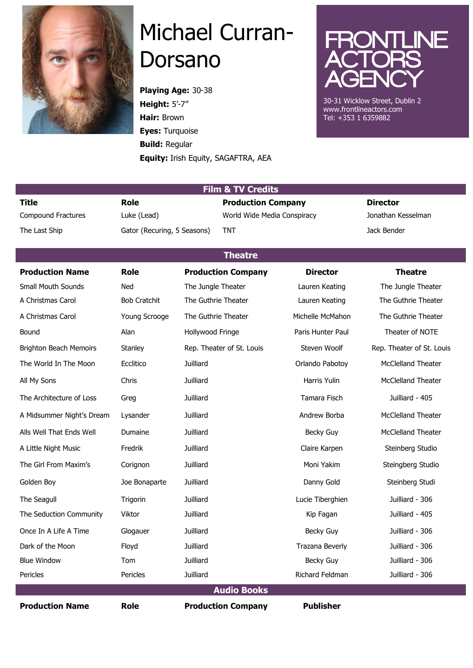

## Michael Curran-Dorsano

**Playing Age:** 30-38 **Height:** 5'-7" **Hair:** Brown **Eyes:** Turquoise **Build:** Regular **Equity:** Irish Equity, SAGAFTRA, AEA



30-31 Wicklow Street, Dublin 2 www.frontlineactors.com Tel: +353 1 6359882

| <b>Film &amp; TV Credits</b>  |                                           |                           |                             |                   |                           |  |  |  |
|-------------------------------|-------------------------------------------|---------------------------|-----------------------------|-------------------|---------------------------|--|--|--|
| <b>Title</b>                  | <b>Role</b>                               |                           | <b>Production Company</b>   |                   | <b>Director</b>           |  |  |  |
| <b>Compound Fractures</b>     | Luke (Lead)                               |                           | World Wide Media Conspiracy |                   | Jonathan Kesselman        |  |  |  |
| The Last Ship                 | <b>TNT</b><br>Gator (Recuring, 5 Seasons) |                           |                             |                   | Jack Bender               |  |  |  |
| <b>Theatre</b>                |                                           |                           |                             |                   |                           |  |  |  |
| <b>Production Name</b>        | <b>Role</b>                               |                           | <b>Production Company</b>   | <b>Director</b>   | <b>Theatre</b>            |  |  |  |
| <b>Small Mouth Sounds</b>     | Ned                                       | The Jungle Theater        |                             | Lauren Keating    | The Jungle Theater        |  |  |  |
| A Christmas Carol             | <b>Bob Cratchit</b>                       | The Guthrie Theater       |                             | Lauren Keating    | The Guthrie Theater       |  |  |  |
| A Christmas Carol             | Young Scrooge                             | The Guthrie Theater       |                             | Michelle McMahon  | The Guthrie Theater       |  |  |  |
| Bound                         | Alan                                      | Hollywood Fringe          |                             | Paris Hunter Paul | Theater of NOTE           |  |  |  |
| <b>Brighton Beach Memoirs</b> | Stanley                                   | Rep. Theater of St. Louis |                             | Steven Woolf      | Rep. Theater of St. Louis |  |  |  |
| The World In The Moon         | Ecclitico                                 | Juilliard                 |                             | Orlando Pabotoy   | McClelland Theater        |  |  |  |
| All My Sons                   | Chris                                     | <b>Juilliard</b>          |                             | Harris Yulin      | <b>McClelland Theater</b> |  |  |  |
| The Architecture of Loss      | Greg                                      | Juilliard                 |                             | Tamara Fisch      | Juilliard - 405           |  |  |  |
| A Midsummer Night's Dream     | Lysander                                  | Juilliard                 |                             | Andrew Borba      | McClelland Theater        |  |  |  |
| Alls Well That Ends Well      | Dumaine                                   | Juilliard                 |                             | Becky Guy         | McClelland Theater        |  |  |  |
| A Little Night Music          | Fredrik                                   | Juilliard                 |                             | Claire Karpen     | Steinberg Studio          |  |  |  |
| The Girl From Maxim's         | Corignon                                  | Juilliard                 |                             | Moni Yakim        | Steingberg Studio         |  |  |  |
| Golden Boy                    | Joe Bonaparte                             | <b>Juilliard</b>          |                             | Danny Gold        | Steinberg Studi           |  |  |  |
| The Seagull                   | Trigorin                                  | <b>Juilliard</b>          |                             | Lucie Tiberghien  | Juilliard - 306           |  |  |  |
| The Seduction Community       | Viktor                                    | <b>Juilliard</b>          |                             | Kip Fagan         | Juilliard - 405           |  |  |  |
| Once In A Life A Time         | Glogauer                                  | Juilliard                 |                             | Becky Guy         | Juilliard - 306           |  |  |  |
| Dark of the Moon              | Floyd                                     | <b>Juilliard</b>          |                             | Trazana Beverly   | Juilliard - 306           |  |  |  |
| <b>Blue Window</b>            | Tom                                       | <b>Juilliard</b>          |                             | <b>Becky Guy</b>  | Juilliard - 306           |  |  |  |
| Pericles                      | Pericles                                  | <b>Juilliard</b>          |                             | Richard Feldman   | Juilliard - 306           |  |  |  |
| <b>Audio Books</b>            |                                           |                           |                             |                   |                           |  |  |  |
| <b>Production Name</b>        | <b>Role</b>                               |                           | <b>Production Company</b>   | <b>Publisher</b>  |                           |  |  |  |